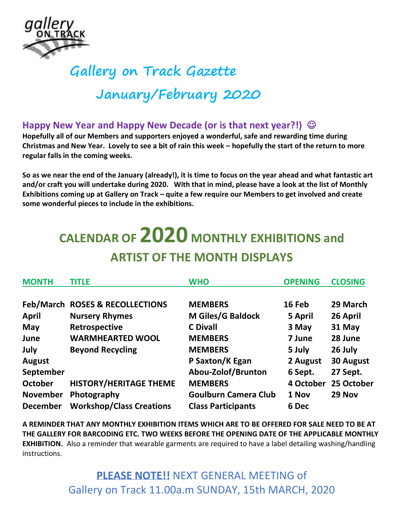

## **Gallery on Track Gazette January/February 2020**

## **Happy New Year and Happy New Decade (or is that next year?!)**  $\circledcirc$

**Hopefully all of our Members and supporters enjoyed a wonderful, safe and rewarding time during Christmas and New Year. Lovely to see a bit of rain this week – hopefully the start of the return to more regular falls in the coming weeks.**

**So as we near the end of the January (already!), it is time to focus on the year ahead and what fantastic art and/or craft you will undertake during 2020. With that in mind, please have a look at the list of Monthly Exhibitions coming up at Gallery on Track – quite a few require our Members to get involved and create some wonderful pieces to include in the exhibitions.**

## **CALENDAR OF 2020 MONTHLY EXHIBITIONS and ARTIST OF THE MONTH DISPLAYS**

| <b>MONTH</b>    | <b>TITLE</b>                    | <b>WHO</b>                  | <b>OPENING</b> | <b>CLOSING</b>   |
|-----------------|---------------------------------|-----------------------------|----------------|------------------|
|                 |                                 |                             |                |                  |
|                 | Feb/March ROSES & RECOLLECTIONS | <b>MEMBERS</b>              | 16 Feb         | 29 March         |
| <b>April</b>    | <b>Nursery Rhymes</b>           | M Giles/G Baldock           | 5 April        | 26 April         |
| May             | Retrospective                   | <b>C</b> Divall             | 3 May          | 31 May           |
| June            | <b>WARMHEARTED WOOL</b>         | <b>MEMBERS</b>              | 7 June         | 28 June          |
| July            | <b>Beyond Recycling</b>         | <b>MEMBERS</b>              | 5 July         | 26 July          |
| <b>August</b>   |                                 | P Saxton/K Egan             | 2 August       | <b>30 August</b> |
| September       |                                 | Abou-Zolof/Brunton          | 6 Sept.        | 27 Sept.         |
| October         | <b>HISTORY/HERITAGE THEME</b>   | <b>MEMBERS</b>              | 4 October      | 25 October       |
| <b>November</b> | Photography                     | <b>Goulburn Camera Club</b> | 1 Nov          | 29 Nov           |
| <b>December</b> | <b>Workshop/Class Creations</b> | <b>Class Participants</b>   | 6 Dec          |                  |

**A REMINDER THAT ANY MONTHLY EXHIBITION ITEMS WHICH ARE TO BE OFFERED FOR SALE NEED TO BE AT THE GALLERY FOR BARCODING ETC. TWO WEEKS BEFORE THE OPENING DATE OF THE APPLICABLE MONTHLY EXHIBITION.** Also a reminder that wearable garments are required to have a label detailing washing/handling instructions.

> **PLEASE NOTE!!** NEXT GENERAL MEETING of Gallery on Track 11.00a.m SUNDAY, 15th MARCH, 2020